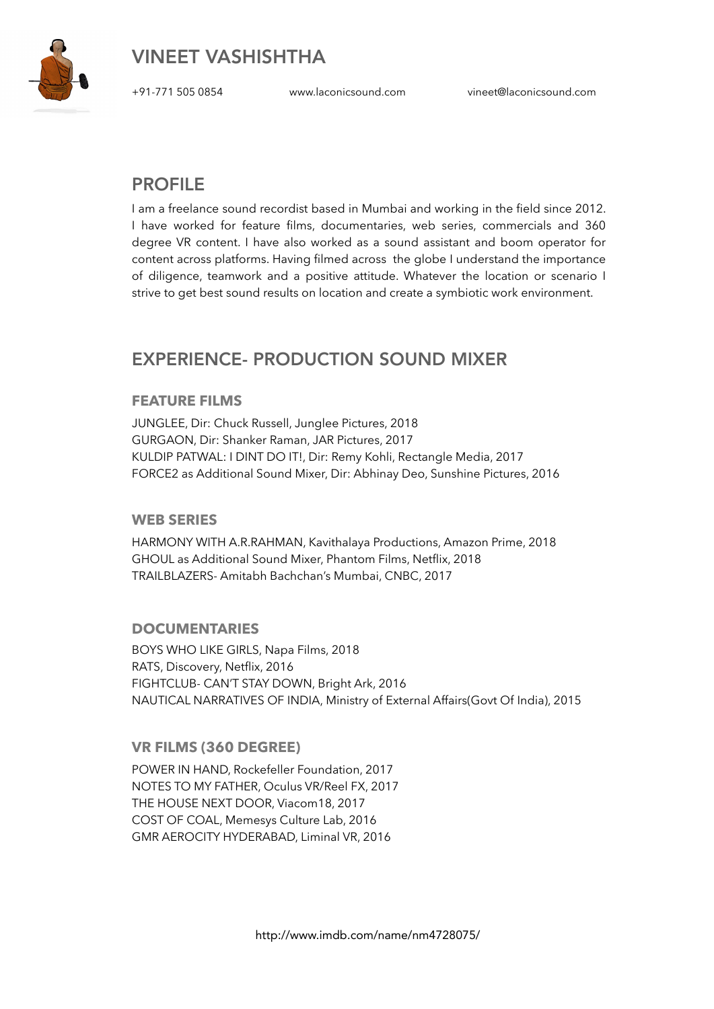

VINEET VASHISHTHA

+91-771 505 0854 [www.laconicsound.com](http://www.laconicsound.com) [vineet@laconicsound.com](mailto:vineet@laconicsound.com) 

## PROFILE

I am a freelance sound recordist based in Mumbai and working in the field since 2012. I have worked for feature films, documentaries, web series, commercials and 360 degree VR content. I have also worked as a sound assistant and boom operator for content across platforms. Having filmed across the globe I understand the importance of diligence, teamwork and a positive attitude. Whatever the location or scenario I strive to get best sound results on location and create a symbiotic work environment.

# EXPERIENCE- PRODUCTION SOUND MIXER

#### **FEATURE FILMS**

JUNGLEE, Dir: Chuck Russell, Junglee Pictures, 2018 GURGAON, Dir: Shanker Raman, JAR Pictures, 2017 KULDIP PATWAL: I DINT DO IT!, Dir: Remy Kohli, Rectangle Media, 2017 FORCE2 as Additional Sound Mixer, Dir: Abhinay Deo, Sunshine Pictures, 2016

#### **WEB SERIES**

HARMONY WITH A.R.RAHMAN, Kavithalaya Productions, Amazon Prime, 2018 GHOUL as Additional Sound Mixer, Phantom Films, Netflix, 2018 TRAILBLAZERS- Amitabh Bachchan's Mumbai, CNBC, 2017

#### **DOCUMENTARIES**

BOYS WHO LIKE GIRLS, Napa Films, 2018 RATS, Discovery, Netflix, 2016 FIGHTCLUB- CAN'T STAY DOWN, Bright Ark, 2016 NAUTICAL NARRATIVES OF INDIA, Ministry of External Affairs(Govt Of India), 2015

#### **VR FILMS (360 DEGREE)**

POWER IN HAND, Rockefeller Foundation, 2017 NOTES TO MY FATHER, Oculus VR/Reel FX, 2017 THE HOUSE NEXT DOOR, Viacom18, 2017 COST OF COAL, Memesys Culture Lab, 2016 GMR AEROCITY HYDERABAD, Liminal VR, 2016